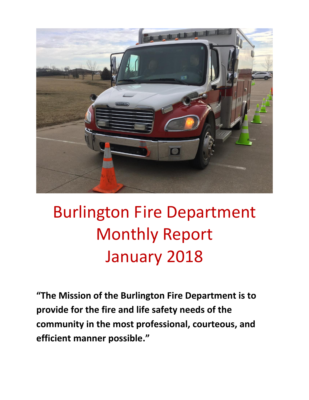

# Burlington Fire Department Monthly Report January 2018

**"The Mission of the Burlington Fire Department is to provide for the fire and life safety needs of the community in the most professional, courteous, and efficient manner possible."**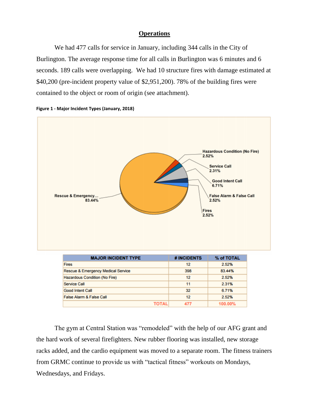#### **Operations**

We had 477 calls for service in January, including 344 calls in the City of Burlington. The average response time for all calls in Burlington was 6 minutes and 6 seconds. 189 calls were overlapping. We had 10 structure fires with damage estimated at \$40,200 (pre-incident property value of \$2,951,200). 78% of the building fires were contained to the object or room of origin (see attachment).





The gym at Central Station was "remodeled" with the help of our AFG grant and the hard work of several firefighters. New rubber flooring was installed, new storage racks added, and the cardio equipment was moved to a separate room. The fitness trainers from GRMC continue to provide us with "tactical fitness" workouts on Mondays, Wednesdays, and Fridays.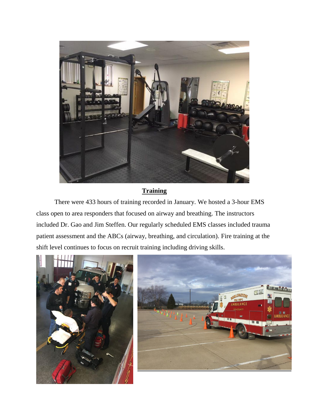

### **Training**

There were 433 hours of training recorded in January. We hosted a 3-hour EMS class open to area responders that focused on airway and breathing. The instructors included Dr. Gao and Jim Steffen. Our regularly scheduled EMS classes included trauma patient assessment and the ABCs (airway, breathing, and circulation). Fire training at the shift level continues to focus on recruit training including driving skills.



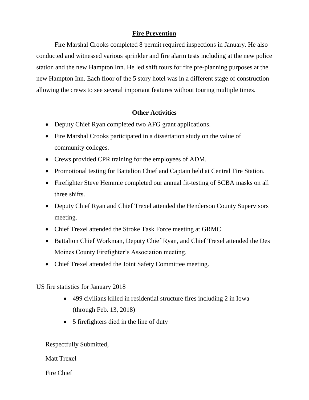### **Fire Prevention**

Fire Marshal Crooks completed 8 permit required inspections in January. He also conducted and witnessed various sprinkler and fire alarm tests including at the new police station and the new Hampton Inn. He led shift tours for fire pre-planning purposes at the new Hampton Inn. Each floor of the 5 story hotel was in a different stage of construction allowing the crews to see several important features without touring multiple times.

### **Other Activities**

- Deputy Chief Ryan completed two AFG grant applications.
- Fire Marshal Crooks participated in a dissertation study on the value of community colleges.
- Crews provided CPR training for the employees of ADM.
- Promotional testing for Battalion Chief and Captain held at Central Fire Station.
- Firefighter Steve Hemmie completed our annual fit-testing of SCBA masks on all three shifts.
- Deputy Chief Ryan and Chief Trexel attended the Henderson County Supervisors meeting.
- Chief Trexel attended the Stroke Task Force meeting at GRMC.
- Battalion Chief Workman, Deputy Chief Ryan, and Chief Trexel attended the Des Moines County Firefighter's Association meeting.
- Chief Trexel attended the Joint Safety Committee meeting.

US fire statistics for January 2018

- 499 civilians killed in residential structure fires including 2 in Iowa (through Feb. 13, 2018)
- 5 firefighters died in the line of duty

Respectfully Submitted,

Matt Trexel

Fire Chief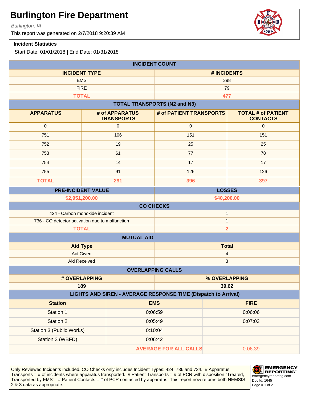Burlington, IA

This report was generated on 2/7/2018 9:20:39 AM

#### **Incident Statistics**

Start Date: 01/01/2018 | End Date: 01/31/2018

| <b>INCIDENT COUNT</b>                                          |                                     |                                     |                                              |  |
|----------------------------------------------------------------|-------------------------------------|-------------------------------------|----------------------------------------------|--|
| <b>INCIDENT TYPE</b>                                           |                                     | # INCIDENTS                         |                                              |  |
| <b>EMS</b>                                                     |                                     | 398                                 |                                              |  |
| <b>FIRE</b>                                                    |                                     |                                     | 79                                           |  |
|                                                                | <b>TOTAL</b>                        |                                     | 477                                          |  |
|                                                                |                                     | <b>TOTAL TRANSPORTS (N2 and N3)</b> |                                              |  |
| <b>APPARATUS</b>                                               | # of APPARATUS<br><b>TRANSPORTS</b> | # of PATIENT TRANSPORTS             | <b>TOTAL # of PATIENT</b><br><b>CONTACTS</b> |  |
| $\mathbf 0$                                                    | $\pmb{0}$                           | $\mathbf 0$                         | $\mathbf{0}$                                 |  |
| 751                                                            | 106                                 | 151                                 | 151                                          |  |
| 752                                                            | 19                                  | 25                                  | 25                                           |  |
| 753                                                            | 61                                  | 77                                  | 78                                           |  |
| 754                                                            | 14                                  | 17                                  | 17                                           |  |
| 755                                                            | 91                                  | 126                                 | 126                                          |  |
| <b>TOTAL</b>                                                   | 291                                 | 396                                 | 397                                          |  |
|                                                                | <b>PRE-INCIDENT VALUE</b>           |                                     | <b>LOSSES</b>                                |  |
| \$2,951,200.00                                                 |                                     |                                     | \$40,200.00                                  |  |
| <b>CO CHECKS</b>                                               |                                     |                                     |                                              |  |
| 424 - Carbon monoxide incident<br>$\mathbf{1}$                 |                                     |                                     |                                              |  |
| 736 - CO detector activation due to malfunction                |                                     |                                     | $\mathbf{1}$                                 |  |
| $\overline{\mathbf{2}}$<br><b>TOTAL</b><br><b>MUTUAL AID</b>   |                                     |                                     |                                              |  |
| <b>Aid Type</b><br><b>Total</b>                                |                                     |                                     |                                              |  |
| Aid Given                                                      |                                     | 4                                   |                                              |  |
| <b>Aid Received</b>                                            |                                     |                                     | $\mathbf{3}$                                 |  |
| <b>OVERLAPPING CALLS</b>                                       |                                     |                                     |                                              |  |
| # OVERLAPPING                                                  |                                     | % OVERLAPPING                       |                                              |  |
| 189                                                            |                                     |                                     | 39.62                                        |  |
| LIGHTS AND SIREN - AVERAGE RESPONSE TIME (Dispatch to Arrival) |                                     |                                     |                                              |  |
| <b>Station</b>                                                 |                                     | <b>EMS</b>                          | <b>FIRE</b>                                  |  |
| Station 1                                                      |                                     | 0:06:59                             | 0:06:06                                      |  |
| <b>Station 2</b>                                               |                                     | 0:05:49                             | 0:07:03                                      |  |
| Station 3 (Public Works)                                       |                                     | 0:10:04                             |                                              |  |
| Station 3 (WBFD)<br>0:06:42                                    |                                     |                                     |                                              |  |
| <b>AVERAGE FOR ALL CALLS</b><br>0:06:39                        |                                     |                                     |                                              |  |

Only Reviewed Incidents included. CO Checks only includes Incident Types: 424, 736 and 734. # Apparatus Transports = # of incidents where apparatus transported. # Patient Transports = # of PCR with disposition "Treated, Transported by EMS". # Patient Contacts = # of PCR contacted by apparatus. This report now returns both NEMSIS 2 & 3 data as appropriate. The set of 2 set of 2 set of 2 set of 2 set of 2 set of 2 set of 2 set of 2 set of 2



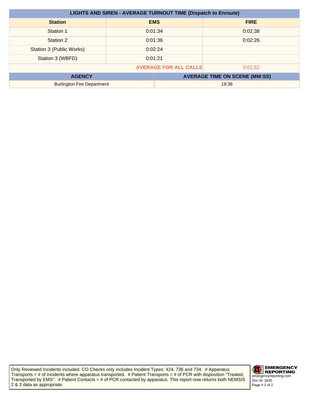| <b>LIGHTS AND SIREN - AVERAGE TURNOUT TIME (Dispatch to Enroute)</b> |         |            |                                      |
|----------------------------------------------------------------------|---------|------------|--------------------------------------|
| <b>Station</b>                                                       |         | <b>EMS</b> | <b>FIRE</b>                          |
| Station 1                                                            |         | 0:01:34    | 0:02:38                              |
| Station 2                                                            |         | 0:01:36    | 0:02:26                              |
| Station 3 (Public Works)                                             | 0:02:24 |            |                                      |
| Station 3 (WBFD)                                                     | 0:01:21 |            |                                      |
| <b>AVERAGE FOR ALL CALLS</b><br>0:01:52                              |         |            |                                      |
| <b>AGENCY</b>                                                        |         |            | <b>AVERAGE TIME ON SCENE (MM:SS)</b> |
| <b>Burlington Fire Department</b>                                    |         | 19:36      |                                      |

Only Reviewed Incidents included. CO Checks only includes Incident Types: 424, 736 and 734. # Apparatus Transports = # of incidents where apparatus transported. # Patient Transports = # of PCR with disposition "Treated, Transported by EMS". # Patient Contacts = # of PCR contacted by apparatus. This report now returns both NEMSIS 2 & 3 data as appropriate.

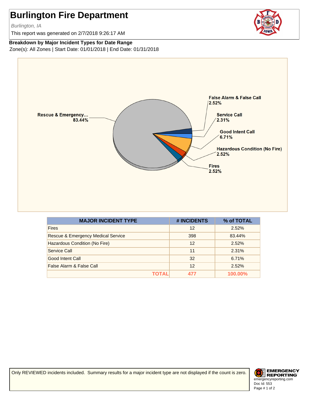Burlington, IA

This report was generated on 2/7/2018 9:26:17 AM



#### **Breakdown by Major Incident Types for Date Range**

Zone(s): All Zones | Start Date: 01/01/2018 | End Date: 01/31/2018



| <b>MAJOR INCIDENT TYPE</b>                    | # INCIDENTS | % of TOTAL     |
|-----------------------------------------------|-------------|----------------|
| <b>Fires</b>                                  | 12          | 2.52%          |
| <b>Rescue &amp; Emergency Medical Service</b> | 398         | 83.44%         |
| Hazardous Condition (No Fire)                 | 12          | 2.52%          |
| Service Call                                  | 11          | 2.31%          |
| Good Intent Call                              | 32          | 6.71%          |
| False Alarm & False Call                      | 12          | 2.52%          |
| TOTAL                                         | 477         | <b>100.00%</b> |

Only REVIEWED incidents included. Summary results for a major incident type are not displayed if the count is zero.

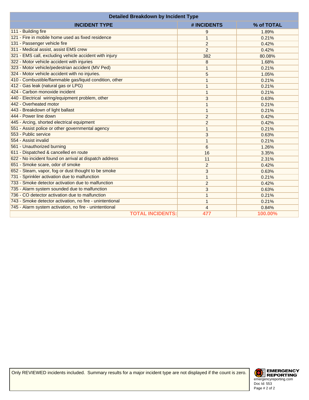| <b>Detailed Breakdown by Incident Type</b>               |                |            |
|----------------------------------------------------------|----------------|------------|
| <b>INCIDENT TYPE</b>                                     | # INCIDENTS    | % of TOTAL |
| 111 - Building fire                                      | 9              | 1.89%      |
| 121 - Fire in mobile home used as fixed residence        | 1              | 0.21%      |
| 131 - Passenger vehicle fire                             | $\overline{2}$ | 0.42%      |
| 311 - Medical assist, assist EMS crew                    | $\overline{2}$ | 0.42%      |
| 321 - EMS call, excluding vehicle accident with injury   | 382            | 80.08%     |
| 322 - Motor vehicle accident with injuries               | 8              | 1.68%      |
| 323 - Motor vehicle/pedestrian accident (MV Ped)         | 1              | 0.21%      |
| 324 - Motor vehicle accident with no injuries.           | 5              | 1.05%      |
| 410 - Combustible/flammable gas/liquid condition, other  | 1              | 0.21%      |
| 412 - Gas leak (natural gas or LPG)                      | 1              | 0.21%      |
| 424 - Carbon monoxide incident                           | 1              | 0.21%      |
| 440 - Electrical wiring/equipment problem, other         | 3              | 0.63%      |
| 442 - Overheated motor                                   | 1              | 0.21%      |
| 443 - Breakdown of light ballast                         | 1              | 0.21%      |
| 444 - Power line down                                    | $\overline{2}$ | 0.42%      |
| 445 - Arcing, shorted electrical equipment               | $\overline{c}$ | 0.42%      |
| 551 - Assist police or other governmental agency         | 1              | 0.21%      |
| 553 - Public service                                     | 3              | 0.63%      |
| 554 - Assist invalid                                     | 1              | 0.21%      |
| 561 - Unauthorized burning                               | 6              | 1.26%      |
| 611 - Dispatched & cancelled en route                    | 16             | 3.35%      |
| 622 - No incident found on arrival at dispatch address   | 11             | 2.31%      |
| 651 - Smoke scare, odor of smoke                         | 2              | 0.42%      |
| 652 - Steam, vapor, fog or dust thought to be smoke      | 3              | 0.63%      |
| 731 - Sprinkler activation due to malfunction            | 1              | 0.21%      |
| 733 - Smoke detector activation due to malfunction       | $\overline{c}$ | 0.42%      |
| 735 - Alarm system sounded due to malfunction            | 3              | 0.63%      |
| 736 - CO detector activation due to malfunction          | 1              | 0.21%      |
| 743 - Smoke detector activation, no fire - unintentional | 1              | 0.21%      |
| 745 - Alarm system activation, no fire - unintentional   | 4              | 0.84%      |
| <b>TOTAL INCIDENTS:</b>                                  | 477            | 100.00%    |

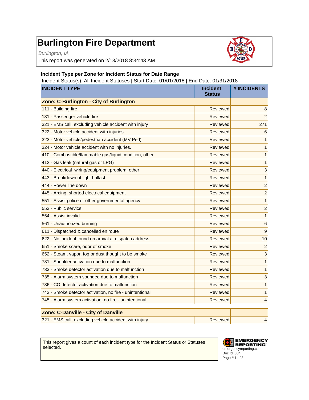Burlington, IA

This report was generated on 2/13/2018 8:34:43 AM



#### **Incident Type per Zone for Incident Status for Date Range**

Incident Status(s): All Incident Statuses | Start Date: 01/01/2018 | End Date: 01/31/2018

| <b>INCIDENT TYPE</b>                                     | <b>Incident</b><br><b>Status</b> | # INCIDENTS     |
|----------------------------------------------------------|----------------------------------|-----------------|
| Zone: C-Burlington - City of Burlington                  |                                  |                 |
| 111 - Building fire                                      | Reviewed                         | 8               |
| 131 - Passenger vehicle fire                             | Reviewed                         | $\overline{2}$  |
| 321 - EMS call, excluding vehicle accident with injury   | <b>Reviewed</b>                  | 271             |
| 322 - Motor vehicle accident with injuries               | Reviewed                         | 6               |
| 323 - Motor vehicle/pedestrian accident (MV Ped)         | Reviewed                         | 1               |
| 324 - Motor vehicle accident with no injuries.           | Reviewed                         | 1               |
| 410 - Combustible/flammable gas/liquid condition, other  | Reviewed                         | 1               |
| 412 - Gas leak (natural gas or LPG)                      | Reviewed                         | 1               |
| 440 - Electrical wiring/equipment problem, other         | Reviewed                         | 3               |
| 443 - Breakdown of light ballast                         | <b>Reviewed</b>                  | $\mathbf{1}$    |
| 444 - Power line down                                    | <b>Reviewed</b>                  | $\overline{c}$  |
| 445 - Arcing, shorted electrical equipment               | Reviewed                         | $\overline{c}$  |
| 551 - Assist police or other governmental agency         | Reviewed                         | $\mathbf{1}$    |
| 553 - Public service                                     | Reviewed                         | $\overline{c}$  |
| 554 - Assist invalid                                     | Reviewed                         | $\mathbf{1}$    |
| 561 - Unauthorized burning                               | <b>Reviewed</b>                  | $6\phantom{1}6$ |
| 611 - Dispatched & cancelled en route                    | Reviewed                         | 9               |
| 622 - No incident found on arrival at dispatch address   | Reviewed                         | 10              |
| 651 - Smoke scare, odor of smoke                         | Reviewed                         | $\overline{c}$  |
| 652 - Steam, vapor, fog or dust thought to be smoke      | <b>Reviewed</b>                  | 3               |
| 731 - Sprinkler activation due to malfunction            | <b>Reviewed</b>                  | $\mathbf{1}$    |
| 733 - Smoke detector activation due to malfunction       | Reviewed                         | $\mathbf{1}$    |
| 735 - Alarm system sounded due to malfunction            | <b>Reviewed</b>                  | 3               |
| 736 - CO detector activation due to malfunction          | Reviewed                         | $\mathbf{1}$    |
| 743 - Smoke detector activation, no fire - unintentional | Reviewed                         | 1               |
| 745 - Alarm system activation, no fire - unintentional   | <b>Reviewed</b>                  | 4               |
| Zone: C-Danville - City of Danville                      |                                  |                 |
| 321 - EMS call, excluding vehicle accident with injury   | Reviewed                         | 4               |

This report gives a count of each incident type for the Incident Status or Statuses selected.

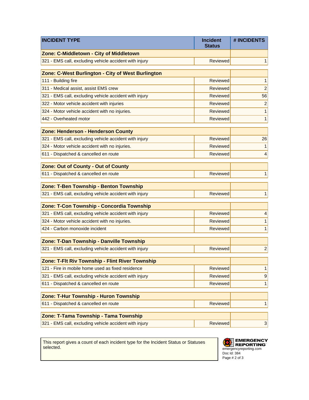| <b>INCIDENT TYPE</b>                                   | <b>Incident</b><br><b>Status</b> | # INCIDENTS    |
|--------------------------------------------------------|----------------------------------|----------------|
| Zone: C-Middletown - City of Middletown                |                                  |                |
| 321 - EMS call, excluding vehicle accident with injury | <b>Reviewed</b>                  | 1              |
| Zone: C-West Burlington - City of West Burlington      |                                  |                |
| 111 - Building fire                                    | Reviewed                         | 1              |
| 311 - Medical assist, assist EMS crew                  | Reviewed                         | $\overline{c}$ |
| 321 - EMS call, excluding vehicle accident with injury | Reviewed                         | 56             |
| 322 - Motor vehicle accident with injuries             | Reviewed                         | $\overline{c}$ |
| 324 - Motor vehicle accident with no injuries.         | Reviewed                         | 1              |
| 442 - Overheated motor                                 | <b>Reviewed</b>                  | 1              |
| <b>Zone: Henderson - Henderson County</b>              |                                  |                |
| 321 - EMS call, excluding vehicle accident with injury | <b>Reviewed</b>                  | 26             |
| 324 - Motor vehicle accident with no injuries.         | <b>Reviewed</b>                  | 1              |
| 611 - Dispatched & cancelled en route                  | Reviewed                         | 4              |
| Zone: Out of County - Out of County                    |                                  |                |
| 611 - Dispatched & cancelled en route                  | <b>Reviewed</b>                  | 1              |
| Zone: T-Ben Township - Benton Township                 |                                  |                |
| 321 - EMS call, excluding vehicle accident with injury | <b>Reviewed</b>                  | 1              |
| Zone: T-Con Township - Concordia Township              |                                  |                |
| 321 - EMS call, excluding vehicle accident with injury | Reviewed                         | 4              |
| 324 - Motor vehicle accident with no injuries.         | Reviewed                         | 1              |
| 424 - Carbon monoxide incident                         | <b>Reviewed</b>                  | 1              |
| Zone: T-Dan Township - Danville Township               |                                  |                |
| 321 - EMS call, excluding vehicle accident with injury | <b>Reviewed</b>                  | $\overline{c}$ |
| Zone: T-Flt Riv Township - Flint River Township        |                                  |                |
| 121 - Fire in mobile home used as fixed residence      | Reviewed                         | 1              |
| 321 - EMS call, excluding vehicle accident with injury | Reviewed                         | 9              |
| 611 - Dispatched & cancelled en route                  | Reviewed                         | 1              |
| Zone: T-Hur Township - Huron Township                  |                                  |                |
| 611 - Dispatched & cancelled en route                  | <b>Reviewed</b>                  | 1              |
| Zone: T-Tama Township - Tama Township                  |                                  |                |
| 321 - EMS call, excluding vehicle accident with injury | Reviewed                         | $\mathbf{3}$   |

This report gives a count of each incident type for the Incident Status or Statuses selected.

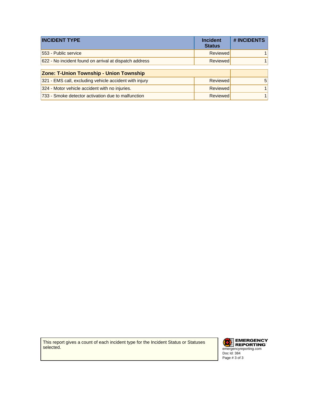| <b>INCIDENT TYPE</b>                                   | <b>Incident</b><br><b>Status</b> | # INCIDENTS |
|--------------------------------------------------------|----------------------------------|-------------|
| 553 - Public service                                   | Reviewed                         |             |
| 622 - No incident found on arrival at dispatch address | Reviewed                         |             |
| Zana: Tilletan Taumakin - Heian Taumakin               |                                  |             |

| Zone: T-Union Township - Union Township                |          |   |
|--------------------------------------------------------|----------|---|
| 321 - EMS call, excluding vehicle accident with injury | Reviewed | 5 |
| 324 - Motor vehicle accident with no injuries.         | Reviewed |   |
| 733 - Smoke detector activation due to malfunction     | Reviewed |   |

This report gives a count of each incident type for the Incident Status or Statuses selected.

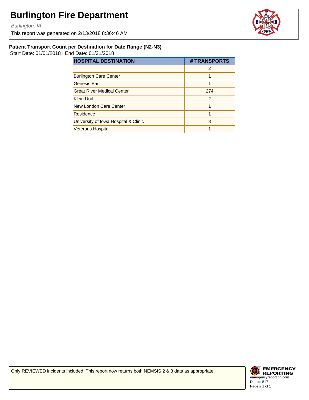Burlington, IA

This report was generated on 2/13/2018 8:36:46 AM



#### **Patient Transport Count per Destination for Date Range (N2-N3)**

Start Date: 01/01/2018 | End Date: 01/31/2018

| <b>HOSPITAL DESTINATION</b>          | # TRANSPORTS   |
|--------------------------------------|----------------|
|                                      | $\mathcal{P}$  |
| <b>Burlington Care Center</b>        |                |
| <b>Genesis East</b>                  |                |
| <b>Great River Medical Center</b>    | 274            |
| <b>Klein Unit</b>                    | $\mathfrak{p}$ |
| New London Care Center               |                |
| Residence                            |                |
| University of Iowa Hospital & Clinic | 8              |
| <b>Veterans Hospital</b>             |                |

Only REVIEWED incidents included. This report now returns both NEMSIS 2 & 3 data as appropriate.

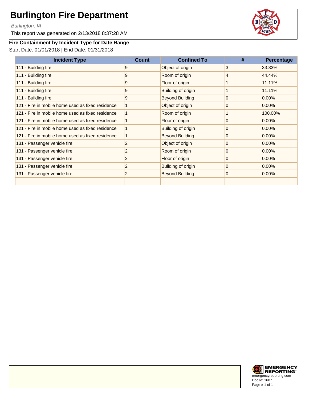Burlington, IA

This report was generated on 2/13/2018 8:37:28 AM



### **Fire Containment by Incident Type for Date Range**

Start Date: 01/01/2018 | End Date: 01/31/2018

| <b>Incident Type</b>                              | Count          | <b>Confined To</b>     | #              | Percentage |
|---------------------------------------------------|----------------|------------------------|----------------|------------|
| 111 - Building fire                               | 9              | Object of origin       | 3              | 33.33%     |
| 111 - Building fire                               | 9              | Room of origin         | 4              | 44.44%     |
| 111 - Building fire                               | 9              | Floor of origin        | 1              | 11.11%     |
| 111 - Building fire                               | 9              | Building of origin     | 1              | 11.11%     |
| 111 - Building fire                               | 9              | <b>Beyond Building</b> | $\overline{0}$ | $0.00\%$   |
| 121 - Fire in mobile home used as fixed residence |                | Object of origin       | $\overline{0}$ | 0.00%      |
| 121 - Fire in mobile home used as fixed residence | 1              | Room of origin         | 1              | 100.00%    |
| 121 - Fire in mobile home used as fixed residence | 1              | Floor of origin        | $\overline{0}$ | 0.00%      |
| 121 - Fire in mobile home used as fixed residence | $\mathbf{1}$   | Building of origin     | $\overline{0}$ | $0.00\%$   |
| 121 - Fire in mobile home used as fixed residence | 1              | <b>Beyond Building</b> | $\overline{0}$ | $0.00\%$   |
| 131 - Passenger vehicle fire                      | $\overline{c}$ | Object of origin       | $\overline{0}$ | 0.00%      |
| 131 - Passenger vehicle fire                      | $\overline{c}$ | Room of origin         | $\overline{0}$ | 0.00%      |
| 131 - Passenger vehicle fire                      | 2              | Floor of origin        | $\overline{0}$ | 0.00%      |
| 131 - Passenger vehicle fire                      | 2              | Building of origin     | $\overline{0}$ | $0.00\%$   |
| 131 - Passenger vehicle fire                      | 2              | <b>Beyond Building</b> | $\overline{0}$ | $0.00\%$   |
|                                                   |                |                        |                |            |

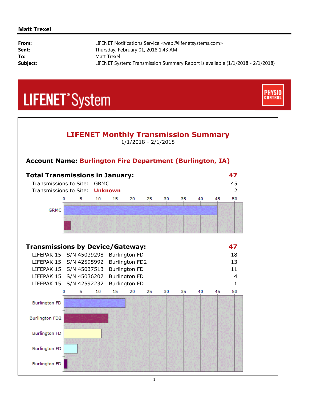#### **Matt Trexel**

| From:    | LIFENET Notifications Service <web@lifenetsystems.com></web@lifenetsystems.com> |
|----------|---------------------------------------------------------------------------------|
| Sent:    | Thursday, February 01, 2018 1:43 AM                                             |
| To:      | Matt Trexel                                                                     |
| Subject: | LIFENET System: Transmission Summary Report is available (1/1/2018 - 2/1/2018)  |

**CONTRO** 

# **LIFENET**<sup>\*</sup>System